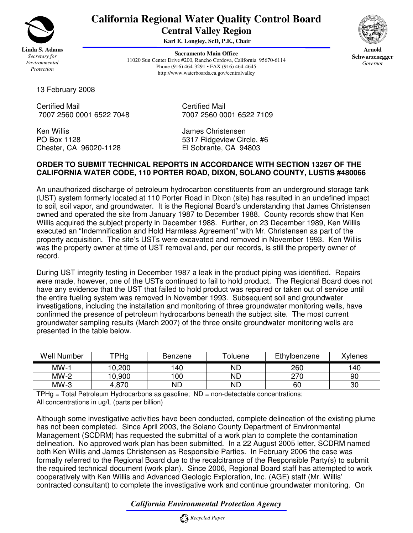

## **California Regional Water Quality Control Board Central Valley Region**

**Karl E. Longley, ScD, P.E., Chair**

**Sacramento Main Office** 11020 Sun Center Drive #200, Rancho Cordova, California 95670-6114 Phone (916) 464-3291 • FAX (916) 464-4645 http://www.waterboards.ca.gov/centralvalley



**Arnold Schwarzenegger** *Governor*

13 February 2008

Certified Mail<br>7007 2560 0001 6522 7048 7007 2560 00

Ken Willis **Allen Christensen** James Christensen Chester, CA 96020-1128

7007 2560 0001 6522 7048 7007 2560 0001 6522 7109

PO Box 1128 5317 Ridgeview Circle, #6<br>Chester, CA 96020-1128 El Sobrante, CA 94803

## **ORDER TO SUBMIT TECHNICAL REPORTS IN ACCORDANCE WITH SECTION 13267 OF THE CALIFORNIA WATER CODE, 110 PORTER ROAD, DIXON, SOLANO COUNTY, LUSTIS #480066**

An unauthorized discharge of petroleum hydrocarbon constituents from an underground storage tank (UST) system formerly located at 110 Porter Road in Dixon (site) has resulted in an undefined impact to soil, soil vapor, and groundwater. It is the Regional Board's understanding that James Christensen owned and operated the site from January 1987 to December 1988. County records show that Ken Willis acquired the subject property in December 1988. Further, on 23 December 1989, Ken Willis executed an "Indemnification and Hold Harmless Agreement" with Mr. Christensen as part of the property acquisition. The site's USTs were excavated and removed in November 1993. Ken Willis was the property owner at time of UST removal and, per our records, is still the property owner of record.

During UST integrity testing in December 1987 a leak in the product piping was identified. Repairs were made, however, one of the USTs continued to fail to hold product. The Regional Board does not have any evidence that the UST that failed to hold product was repaired or taken out of service until the entire fueling system was removed in November 1993. Subsequent soil and groundwater investigations, including the installation and monitoring of three groundwater monitoring wells, have confirmed the presence of petroleum hydrocarbons beneath the subject site. The most current groundwater sampling results (March 2007) of the three onsite groundwater monitoring wells are presented in the table below.

| Well<br>Number | TPHg  | Benzene | oluene | Ethylbenzene | <b>Xylenes</b> |
|----------------|-------|---------|--------|--------------|----------------|
| $MW-1$         | 0.200 | 40      | ND     | 260          | 40             |
| MW-2           | 0.900 | 100     | ND     | 270          | 90             |
| $MW-3$         | ,870  | ΝD      | ND     | 60           | 30             |

 $THg = Total Petroleum Hydrocarbons as gasoline; ND = non-detectable concentrations;$ All concentrations in ug/L (parts per billion)

Although some investigative activities have been conducted, complete delineation of the existing plume has not been completed. Since April 2003, the Solano County Department of Environmental Management (SCDRM) has requested the submittal of a work plan to complete the contamination delineation. No approved work plan has been submitted. In a 22 August 2005 letter, SCDRM named both Ken Willis and James Christensen as Responsible Parties. In February 2006 the case was formally referred to the Regional Board due to the recalcitrance of the Responsible Party(s) to submit the required technical document (work plan). Since 2006, Regional Board staff has attempted to work cooperatively with Ken Willis and Advanced Geologic Exploration, Inc. (AGE) staff (Mr. Willis' contracted consultant) to complete the investigative work and continue groundwater monitoring. On

## *California Environmental Protection Agency*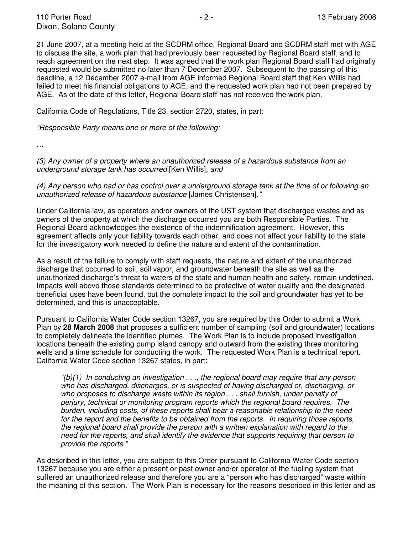21 June 2007, at a meeting held at the SCDRM office, Regional Board and SCDRM staff met with AGE to discuss the site, a work plan that had previously been requested by Regional Board staff, and to reach agreement on the next step. It was agreed that the work plan Regional Board staff had originally requested would be submitted no later than 7 December 2007. Subsequent to the passing of this deadline, a 12 December 2007 e-mail from AGE informed Regional Board staff that Ken Willis had failed to meet his financial obligations to AGE, and the requested work plan had not been prepared by AGE. As of the date of this letter, Regional Board staff has not received the work plan.

California Code of Regulations, Title 23, section 2720, states, in part:

*"Responsible Party means one or more of the following:*

*…*

*(3) Any owner of a property where an unauthorized release of a hazardous substance from an underground storage tank has occurred* [Ken Willis]*, and*

(4) Any person who had or has control over a underground storage tank at the time of or following an *unauthorized release of hazardous substance* [James Christensen]*."*

Under California law, as operators and/or owners of the UST system that discharged wastes and as owners of the property at which the discharge occurred you are both Responsible Parties. The Regional Board acknowledges the existence of the indemnification agreement. However, this agreement affects only your liability towards each other, and does not affect your liability to the state for the investigatory work needed to define the nature and extent of the contamination.

As a result of the failure to comply with staff requests, the nature and extent of the unauthorized discharge that occurred to soil, soil vapor, and groundwater beneath the site as well as the unauthorized discharge's threat to waters of the state and human health and safety, remain undefined. Impacts well above those standards determined to be protective of water quality and the designated beneficial uses have been found, but the complete impact to the soil and groundwater has yet to be determined, and this is unacceptable.

Pursuant to California Water Code section 13267, you are required by this Order to submit a Work Plan by **28 March 2008** that proposes a sufficient number of sampling (soil and groundwater) locations to completely delineate the identified plumes. The Work Plan is to include proposed investigation locations beneath the existing pump island canopy and outward from the existing three monitoring wells and a time schedule for conducting the work. The requested Work Plan is a technical report. California Water Code section 13267 states, in part:

*"(b)(1) In conducting an investigation . . ., the regional board may require that any person who has discharged, discharges, or is suspected of having discharged or, discharging, or who proposes to discharge waste within its region . . . shall furnish, under penalty of perjury, technical or monitoring program reports which the regional board requires. The burden, including costs, of these reports shall bear a reasonable relationship to the need for the report and the benefits to be obtained from the reports. In requiring those reports, the regional board shall provide the person with a written explanation with regard to the need for the reports, and shall identify the evidence that supports requiring that person to provide the reports."*

As described in this letter, you are subject to this Order pursuant to California Water Code section 13267 because you are either a present or past owner and/or operator of the fueling system that suffered an unauthorized release and therefore you are a "person who has discharged" waste within the meaning of this section. The Work Plan is necessary for the reasons described in this letter and as